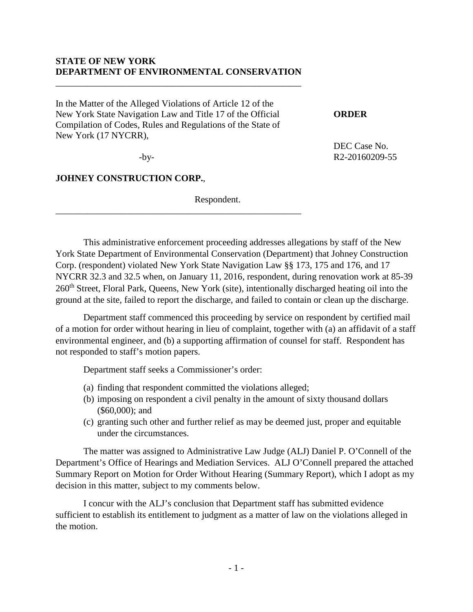## **STATE OF NEW YORK DEPARTMENT OF ENVIRONMENTAL CONSERVATION**

\_\_\_\_\_\_\_\_\_\_\_\_\_\_\_\_\_\_\_\_\_\_\_\_\_\_\_\_\_\_\_\_\_\_\_\_\_\_\_\_\_\_\_\_\_\_\_\_\_\_\_\_\_

\_\_\_\_\_\_\_\_\_\_\_\_\_\_\_\_\_\_\_\_\_\_\_\_\_\_\_\_\_\_\_\_\_\_\_\_\_\_\_\_\_\_\_\_\_\_\_\_\_\_\_\_\_

In the Matter of the Alleged Violations of Article 12 of the New York State Navigation Law and Title 17 of the Official **ORDER** Compilation of Codes, Rules and Regulations of the State of New York (17 NYCRR),

DEC Case No. -by- R2-20160209-55

**JOHNEY CONSTRUCTION CORP.**,

Respondent.

This administrative enforcement proceeding addresses allegations by staff of the New York State Department of Environmental Conservation (Department) that Johney Construction Corp. (respondent) violated New York State Navigation Law §§ 173, 175 and 176, and 17 NYCRR 32.3 and 32.5 when, on January 11, 2016, respondent, during renovation work at 85-39 260<sup>th</sup> Street, Floral Park, Queens, New York (site), intentionally discharged heating oil into the ground at the site, failed to report the discharge, and failed to contain or clean up the discharge.

Department staff commenced this proceeding by service on respondent by certified mail of a motion for order without hearing in lieu of complaint, together with (a) an affidavit of a staff environmental engineer, and (b) a supporting affirmation of counsel for staff. Respondent has not responded to staff's motion papers.

Department staff seeks a Commissioner's order:

- (a) finding that respondent committed the violations alleged;
- (b) imposing on respondent a civil penalty in the amount of sixty thousand dollars (\$60,000); and
- (c) granting such other and further relief as may be deemed just, proper and equitable under the circumstances.

The matter was assigned to Administrative Law Judge (ALJ) Daniel P. O'Connell of the Department's Office of Hearings and Mediation Services. ALJ O'Connell prepared the attached Summary Report on Motion for Order Without Hearing (Summary Report), which I adopt as my decision in this matter, subject to my comments below.

I concur with the ALJ's conclusion that Department staff has submitted evidence sufficient to establish its entitlement to judgment as a matter of law on the violations alleged in the motion.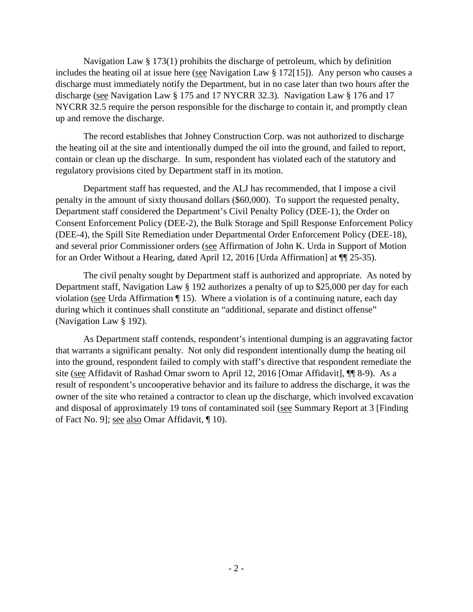Navigation Law § 173(1) prohibits the discharge of petroleum, which by definition includes the heating oil at issue here (see Navigation Law § 172[15]). Any person who causes a discharge must immediately notify the Department, but in no case later than two hours after the discharge (see Navigation Law § 175 and 17 NYCRR 32.3). Navigation Law § 176 and 17 NYCRR 32.5 require the person responsible for the discharge to contain it, and promptly clean up and remove the discharge.

The record establishes that Johney Construction Corp. was not authorized to discharge the heating oil at the site and intentionally dumped the oil into the ground, and failed to report, contain or clean up the discharge. In sum, respondent has violated each of the statutory and regulatory provisions cited by Department staff in its motion.

Department staff has requested, and the ALJ has recommended, that I impose a civil penalty in the amount of sixty thousand dollars (\$60,000). To support the requested penalty, Department staff considered the Department's Civil Penalty Policy (DEE-1), the Order on Consent Enforcement Policy (DEE-2), the Bulk Storage and Spill Response Enforcement Policy (DEE-4), the Spill Site Remediation under Departmental Order Enforcement Policy (DEE-18), and several prior Commissioner orders (see Affirmation of John K. Urda in Support of Motion for an Order Without a Hearing, dated April 12, 2016 [Urda Affirmation] at ¶¶ 25-35).

The civil penalty sought by Department staff is authorized and appropriate. As noted by Department staff, Navigation Law § 192 authorizes a penalty of up to \$25,000 per day for each violation (see Urda Affirmation ¶ 15). Where a violation is of a continuing nature, each day during which it continues shall constitute an "additional, separate and distinct offense" (Navigation Law § 192).

As Department staff contends, respondent's intentional dumping is an aggravating factor that warrants a significant penalty. Not only did respondent intentionally dump the heating oil into the ground, respondent failed to comply with staff's directive that respondent remediate the site (see Affidavit of Rashad Omar sworn to April 12, 2016 [Omar Affidavit], ¶¶ 8-9). As a result of respondent's uncooperative behavior and its failure to address the discharge, it was the owner of the site who retained a contractor to clean up the discharge, which involved excavation and disposal of approximately 19 tons of contaminated soil (see Summary Report at 3 [Finding of Fact No. 9]; see also Omar Affidavit, ¶ 10).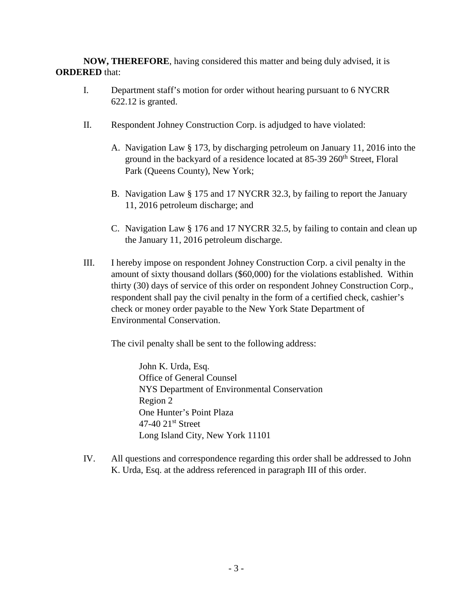**NOW, THEREFORE**, having considered this matter and being duly advised, it is **ORDERED** that:

- I. Department staff's motion for order without hearing pursuant to 6 NYCRR 622.12 is granted.
- II. Respondent Johney Construction Corp. is adjudged to have violated:
	- A. Navigation Law § 173, by discharging petroleum on January 11, 2016 into the ground in the backyard of a residence located at 85-39 260<sup>th</sup> Street, Floral Park (Queens County), New York;
	- B. Navigation Law § 175 and 17 NYCRR 32.3, by failing to report the January 11, 2016 petroleum discharge; and
	- C. Navigation Law § 176 and 17 NYCRR 32.5, by failing to contain and clean up the January 11, 2016 petroleum discharge.
- III. I hereby impose on respondent Johney Construction Corp. a civil penalty in the amount of sixty thousand dollars (\$60,000) for the violations established. Within thirty (30) days of service of this order on respondent Johney Construction Corp., respondent shall pay the civil penalty in the form of a certified check, cashier's check or money order payable to the New York State Department of Environmental Conservation.

The civil penalty shall be sent to the following address:

John K. Urda, Esq. Office of General Counsel NYS Department of Environmental Conservation Region 2 One Hunter's Point Plaza  $47-40$   $21<sup>st</sup>$  Street Long Island City, New York 11101

IV. All questions and correspondence regarding this order shall be addressed to John K. Urda, Esq. at the address referenced in paragraph III of this order.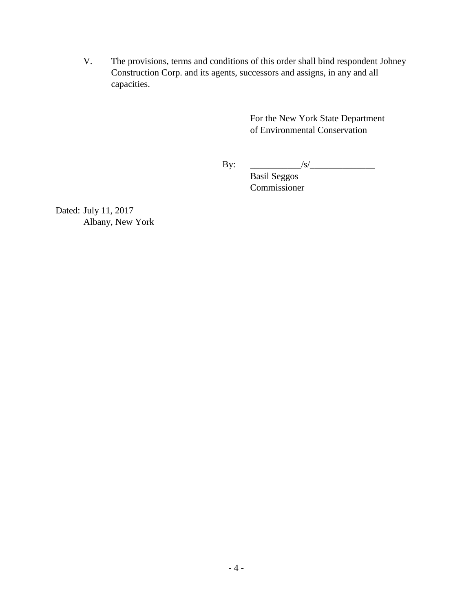V. The provisions, terms and conditions of this order shall bind respondent Johney Construction Corp. and its agents, successors and assigns, in any and all capacities.

> For the New York State Department of Environmental Conservation

By: \_\_\_\_\_\_\_\_\_\_\_/s/\_\_\_\_\_\_\_\_\_\_\_\_\_\_

Basil Seggos Commissioner

Dated: July 11, 2017 Albany, New York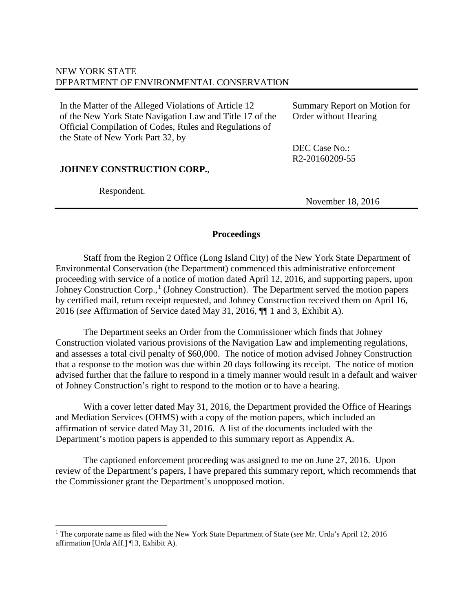# NEW YORK STATE DEPARTMENT OF ENVIRONMENTAL CONSERVATION

In the Matter of the Alleged Violations of Article 12 of the New York State Navigation Law and Title 17 of the Official Compilation of Codes, Rules and Regulations of the State of New York Part 32, by

Summary Report on Motion for Order without Hearing

DEC Case No.: R2-20160209-55

## **JOHNEY CONSTRUCTION CORP.**,

Respondent.

November 18, 2016

## **Proceedings**

Staff from the Region 2 Office (Long Island City) of the New York State Department of Environmental Conservation (the Department) commenced this administrative enforcement proceeding with service of a notice of motion dated April 12, 2016, and supporting papers, upon Johney Construction Corp.,<sup>[1](#page-4-0)</sup> (Johney Construction). The Department served the motion papers by certified mail, return receipt requested, and Johney Construction received them on April 16, 2016 (*see* Affirmation of Service dated May 31, 2016, ¶¶ 1 and 3, Exhibit A).

The Department seeks an Order from the Commissioner which finds that Johney Construction violated various provisions of the Navigation Law and implementing regulations, and assesses a total civil penalty of \$60,000. The notice of motion advised Johney Construction that a response to the motion was due within 20 days following its receipt. The notice of motion advised further that the failure to respond in a timely manner would result in a default and waiver of Johney Construction's right to respond to the motion or to have a hearing.

With a cover letter dated May 31, 2016, the Department provided the Office of Hearings and Mediation Services (OHMS) with a copy of the motion papers, which included an affirmation of service dated May 31, 2016. A list of the documents included with the Department's motion papers is appended to this summary report as Appendix A.

The captioned enforcement proceeding was assigned to me on June 27, 2016. Upon review of the Department's papers, I have prepared this summary report, which recommends that the Commissioner grant the Department's unopposed motion.

<span id="page-4-0"></span><sup>1</sup> The corporate name as filed with the New York State Department of State (*see* Mr. Urda's April 12, 2016 affirmation [Urda Aff.] ¶ 3, Exhibit A). Ξ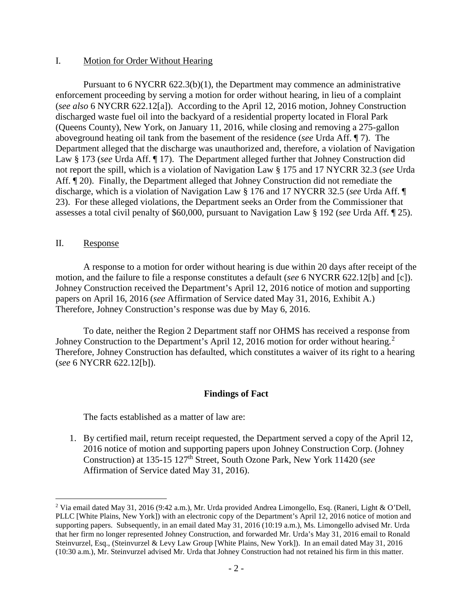### I. Motion for Order Without Hearing

Pursuant to 6 NYCRR 622.3(b)(1), the Department may commence an administrative enforcement proceeding by serving a motion for order without hearing, in lieu of a complaint (*see also* 6 NYCRR 622.12[a]). According to the April 12, 2016 motion, Johney Construction discharged waste fuel oil into the backyard of a residential property located in Floral Park (Queens County), New York, on January 11, 2016, while closing and removing a 275-gallon aboveground heating oil tank from the basement of the residence (*see* Urda Aff. ¶ 7). The Department alleged that the discharge was unauthorized and, therefore, a violation of Navigation Law § 173 (*see* Urda Aff. ¶ 17). The Department alleged further that Johney Construction did not report the spill, which is a violation of Navigation Law § 175 and 17 NYCRR 32.3 (*see* Urda Aff. ¶ 20). Finally, the Department alleged that Johney Construction did not remediate the discharge, which is a violation of Navigation Law § 176 and 17 NYCRR 32.5 (*see* Urda Aff. ¶ 23). For these alleged violations, the Department seeks an Order from the Commissioner that assesses a total civil penalty of \$60,000, pursuant to Navigation Law § 192 (*see* Urda Aff. ¶ 25).

#### II. Response

A response to a motion for order without hearing is due within 20 days after receipt of the motion, and the failure to file a response constitutes a default (*see* 6 NYCRR 622.12[b] and [c]). Johney Construction received the Department's April 12, 2016 notice of motion and supporting papers on April 16, 2016 (*see* Affirmation of Service dated May 31, 2016, Exhibit A.) Therefore, Johney Construction's response was due by May 6, 2016.

To date, neither the Region 2 Department staff nor OHMS has received a response from Johney Construction to the Department's April 1[2](#page-5-0), 2016 motion for order without hearing.<sup>2</sup> Therefore, Johney Construction has defaulted, which constitutes a waiver of its right to a hearing (*see* 6 NYCRR 622.12[b]).

### **Findings of Fact**

The facts established as a matter of law are:

1. By certified mail, return receipt requested, the Department served a copy of the April 12, 2016 notice of motion and supporting papers upon Johney Construction Corp. (Johney Construction) at 135-15 127th Street, South Ozone Park, New York 11420 (*see* Affirmation of Service dated May 31, 2016).

<span id="page-5-0"></span><sup>&</sup>lt;sup>2</sup> Via email dated May 31, 2016 (9:42 a.m.), Mr. Urda provided Andrea Limongello, Esq. (Raneri, Light & O'Dell, PLLC [White Plains, New York]) with an electronic copy of the Department's April 12, 2016 notice of motion and supporting papers. Subsequently, in an email dated May 31, 2016 (10:19 a.m.), Ms. Limongello advised Mr. Urda that her firm no longer represented Johney Construction, and forwarded Mr. Urda's May 31, 2016 email to Ronald Steinvurzel, Esq., (Steinvurzel & Levy Law Group [White Plains, New York]). In an email dated May 31, 2016 (10:30 a.m.), Mr. Steinvurzel advised Mr. Urda that Johney Construction had not retained his firm in this matter. Ξ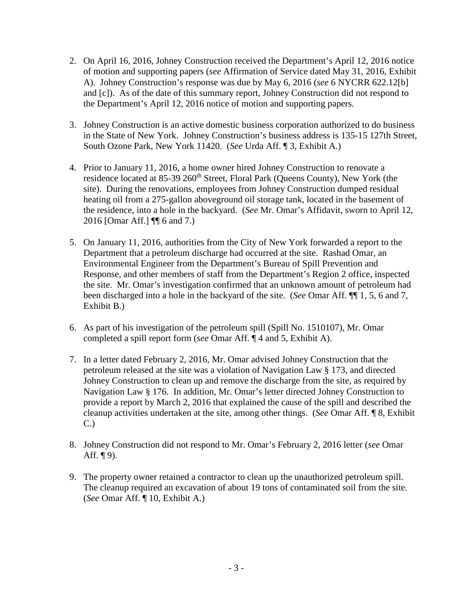- 2. On April 16, 2016, Johney Construction received the Department's April 12, 2016 notice of motion and supporting papers (*see* Affirmation of Service dated May 31, 2016, Exhibit A). Johney Construction's response was due by May 6, 2016 (*see* 6 NYCRR 622.12[b] and [c]). As of the date of this summary report, Johney Construction did not respond to the Department's April 12, 2016 notice of motion and supporting papers.
- 3. Johney Construction is an active domestic business corporation authorized to do business in the State of New York. Johney Construction's business address is 135-15 127th Street, South Ozone Park, New York 11420. (*See* Urda Aff. ¶ 3, Exhibit A.)
- 4. Prior to January 11, 2016, a home owner hired Johney Construction to renovate a residence located at 85-39 260<sup>th</sup> Street, Floral Park (Queens County), New York (the site). During the renovations, employees from Johney Construction dumped residual heating oil from a 275-gallon aboveground oil storage tank, located in the basement of the residence, into a hole in the backyard. (*See* Mr. Omar's Affidavit, sworn to April 12, 2016 [Omar Aff.] ¶¶ 6 and 7.)
- 5. On January 11, 2016, authorities from the City of New York forwarded a report to the Department that a petroleum discharge had occurred at the site. Rashad Omar, an Environmental Engineer from the Department's Bureau of Spill Prevention and Response, and other members of staff from the Department's Region 2 office, inspected the site. Mr. Omar's investigation confirmed that an unknown amount of petroleum had been discharged into a hole in the backyard of the site. (*See* Omar Aff. ¶¶ 1, 5, 6 and 7, Exhibit B.)
- 6. As part of his investigation of the petroleum spill (Spill No. 1510107), Mr. Omar completed a spill report form (*see* Omar Aff. ¶ 4 and 5, Exhibit A).
- 7. In a letter dated February 2, 2016, Mr. Omar advised Johney Construction that the petroleum released at the site was a violation of Navigation Law § 173, and directed Johney Construction to clean up and remove the discharge from the site, as required by Navigation Law § 176. In addition, Mr. Omar's letter directed Johney Construction to provide a report by March 2, 2016 that explained the cause of the spill and described the cleanup activities undertaken at the site, among other things. (*See* Omar Aff. ¶ 8, Exhibit C.)
- 8. Johney Construction did not respond to Mr. Omar's February 2, 2016 letter (*see* Omar Aff.  $\P(9)$ .
- 9. The property owner retained a contractor to clean up the unauthorized petroleum spill. The cleanup required an excavation of about 19 tons of contaminated soil from the site. (*See* Omar Aff. ¶ 10, Exhibit A.)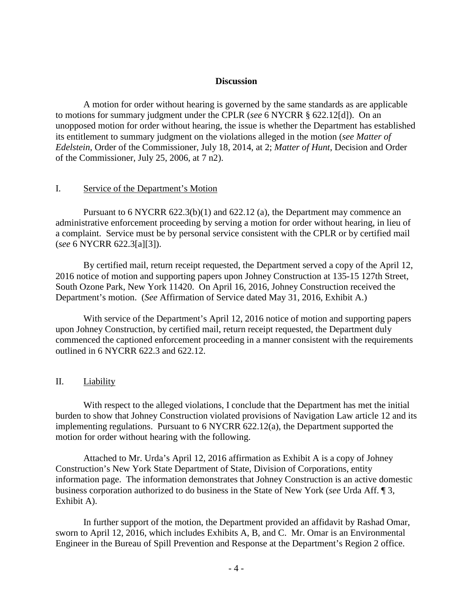#### **Discussion**

A motion for order without hearing is governed by the same standards as are applicable to motions for summary judgment under the CPLR (*see* 6 NYCRR § 622.12[d]). On an unopposed motion for order without hearing, the issue is whether the Department has established its entitlement to summary judgment on the violations alleged in the motion (*see Matter of Edelstein*, Order of the Commissioner, July 18, 2014, at 2; *Matter of Hunt*, Decision and Order of the Commissioner, July 25, 2006, at 7 n2).

#### I. Service of the Department's Motion

Pursuant to 6 NYCRR 622.3(b)(1) and 622.12 (a), the Department may commence an administrative enforcement proceeding by serving a motion for order without hearing, in lieu of a complaint. Service must be by personal service consistent with the CPLR or by certified mail (*see* 6 NYCRR 622.3[a][3]).

By certified mail, return receipt requested, the Department served a copy of the April 12, 2016 notice of motion and supporting papers upon Johney Construction at 135-15 127th Street, South Ozone Park, New York 11420. On April 16, 2016, Johney Construction received the Department's motion. (*See* Affirmation of Service dated May 31, 2016, Exhibit A.)

With service of the Department's April 12, 2016 notice of motion and supporting papers upon Johney Construction, by certified mail, return receipt requested, the Department duly commenced the captioned enforcement proceeding in a manner consistent with the requirements outlined in 6 NYCRR 622.3 and 622.12.

#### II. Liability

With respect to the alleged violations, I conclude that the Department has met the initial burden to show that Johney Construction violated provisions of Navigation Law article 12 and its implementing regulations. Pursuant to 6 NYCRR 622.12(a), the Department supported the motion for order without hearing with the following.

Attached to Mr. Urda's April 12, 2016 affirmation as Exhibit A is a copy of Johney Construction's New York State Department of State, Division of Corporations, entity information page. The information demonstrates that Johney Construction is an active domestic business corporation authorized to do business in the State of New York (*see* Urda Aff. ¶ 3, Exhibit A).

In further support of the motion, the Department provided an affidavit by Rashad Omar, sworn to April 12, 2016, which includes Exhibits A, B, and C. Mr. Omar is an Environmental Engineer in the Bureau of Spill Prevention and Response at the Department's Region 2 office.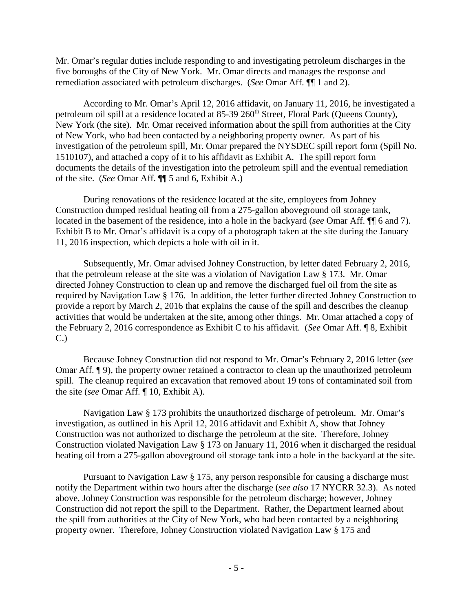Mr. Omar's regular duties include responding to and investigating petroleum discharges in the five boroughs of the City of New York. Mr. Omar directs and manages the response and remediation associated with petroleum discharges. (*See* Omar Aff. ¶¶ 1 and 2).

According to Mr. Omar's April 12, 2016 affidavit, on January 11, 2016, he investigated a petroleum oil spill at a residence located at 85-39 260<sup>th</sup> Street, Floral Park (Queens County), New York (the site). Mr. Omar received information about the spill from authorities at the City of New York, who had been contacted by a neighboring property owner. As part of his investigation of the petroleum spill, Mr. Omar prepared the NYSDEC spill report form (Spill No. 1510107), and attached a copy of it to his affidavit as Exhibit A. The spill report form documents the details of the investigation into the petroleum spill and the eventual remediation of the site. (*See* Omar Aff. ¶¶ 5 and 6, Exhibit A.)

During renovations of the residence located at the site, employees from Johney Construction dumped residual heating oil from a 275-gallon aboveground oil storage tank, located in the basement of the residence, into a hole in the backyard (*see* Omar Aff. ¶¶ 6 and 7). Exhibit B to Mr. Omar's affidavit is a copy of a photograph taken at the site during the January 11, 2016 inspection, which depicts a hole with oil in it.

Subsequently, Mr. Omar advised Johney Construction, by letter dated February 2, 2016, that the petroleum release at the site was a violation of Navigation Law § 173. Mr. Omar directed Johney Construction to clean up and remove the discharged fuel oil from the site as required by Navigation Law § 176. In addition, the letter further directed Johney Construction to provide a report by March 2, 2016 that explains the cause of the spill and describes the cleanup activities that would be undertaken at the site, among other things. Mr. Omar attached a copy of the February 2, 2016 correspondence as Exhibit C to his affidavit. (*See* Omar Aff. ¶ 8, Exhibit C.)

Because Johney Construction did not respond to Mr. Omar's February 2, 2016 letter (*see* Omar Aff. ¶ 9), the property owner retained a contractor to clean up the unauthorized petroleum spill. The cleanup required an excavation that removed about 19 tons of contaminated soil from the site (*see* Omar Aff. ¶ 10, Exhibit A).

Navigation Law § 173 prohibits the unauthorized discharge of petroleum. Mr. Omar's investigation, as outlined in his April 12, 2016 affidavit and Exhibit A, show that Johney Construction was not authorized to discharge the petroleum at the site. Therefore, Johney Construction violated Navigation Law § 173 on January 11, 2016 when it discharged the residual heating oil from a 275-gallon aboveground oil storage tank into a hole in the backyard at the site.

Pursuant to Navigation Law § 175, any person responsible for causing a discharge must notify the Department within two hours after the discharge (*see also* 17 NYCRR 32.3). As noted above, Johney Construction was responsible for the petroleum discharge; however, Johney Construction did not report the spill to the Department. Rather, the Department learned about the spill from authorities at the City of New York, who had been contacted by a neighboring property owner. Therefore, Johney Construction violated Navigation Law § 175 and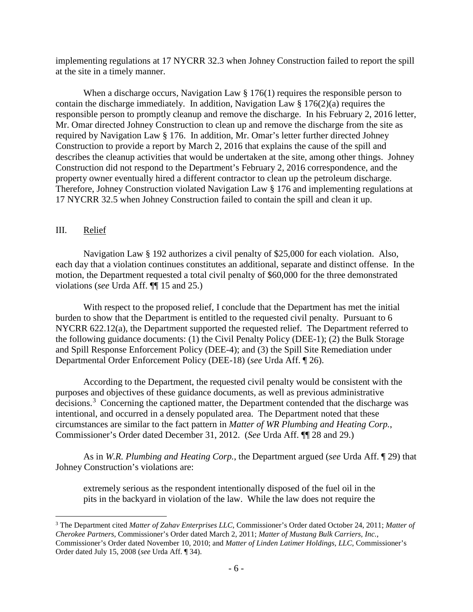implementing regulations at 17 NYCRR 32.3 when Johney Construction failed to report the spill at the site in a timely manner.

When a discharge occurs, Navigation Law § 176(1) requires the responsible person to contain the discharge immediately. In addition, Navigation Law  $\S 176(2)(a)$  requires the responsible person to promptly cleanup and remove the discharge. In his February 2, 2016 letter, Mr. Omar directed Johney Construction to clean up and remove the discharge from the site as required by Navigation Law § 176. In addition, Mr. Omar's letter further directed Johney Construction to provide a report by March 2, 2016 that explains the cause of the spill and describes the cleanup activities that would be undertaken at the site, among other things. Johney Construction did not respond to the Department's February 2, 2016 correspondence, and the property owner eventually hired a different contractor to clean up the petroleum discharge. Therefore, Johney Construction violated Navigation Law § 176 and implementing regulations at 17 NYCRR 32.5 when Johney Construction failed to contain the spill and clean it up.

## III. Relief

Navigation Law § 192 authorizes a civil penalty of \$25,000 for each violation. Also, each day that a violation continues constitutes an additional, separate and distinct offense. In the motion, the Department requested a total civil penalty of \$60,000 for the three demonstrated violations (*see* Urda Aff. ¶¶ 15 and 25.)

With respect to the proposed relief, I conclude that the Department has met the initial burden to show that the Department is entitled to the requested civil penalty. Pursuant to 6 NYCRR 622.12(a), the Department supported the requested relief. The Department referred to the following guidance documents: (1) the Civil Penalty Policy (DEE-1); (2) the Bulk Storage and Spill Response Enforcement Policy (DEE-4); and (3) the Spill Site Remediation under Departmental Order Enforcement Policy (DEE-18) (*see* Urda Aff. ¶ 26).

According to the Department, the requested civil penalty would be consistent with the purposes and objectives of these guidance documents, as well as previous administrative decisions.<sup>[3](#page-9-0)</sup> Concerning the captioned matter, the Department contended that the discharge was intentional, and occurred in a densely populated area. The Department noted that these circumstances are similar to the fact pattern in *Matter of WR Plumbing and Heating Corp.*, Commissioner's Order dated December 31, 2012. (*See* Urda Aff. ¶¶ 28 and 29.)

As in *W.R. Plumbing and Heating Corp.*, the Department argued (*see* Urda Aff. ¶ 29) that Johney Construction's violations are:

extremely serious as the respondent intentionally disposed of the fuel oil in the pits in the backyard in violation of the law. While the law does not require the

<span id="page-9-0"></span><sup>3</sup> The Department cited *Matter of Zahav Enterprises LLC*, Commissioner's Order dated October 24, 2011; *Matter of Cherokee Partners*, Commissioner's Order dated March 2, 2011; *Matter of Mustang Bulk Carriers, Inc.*, Commissioner's Order dated November 10, 2010; and *Matter of Linden Latimer Holdings, LLC*, Commissioner's Order dated July 15, 2008 (*see* Urda Aff. ¶ 34). Ξ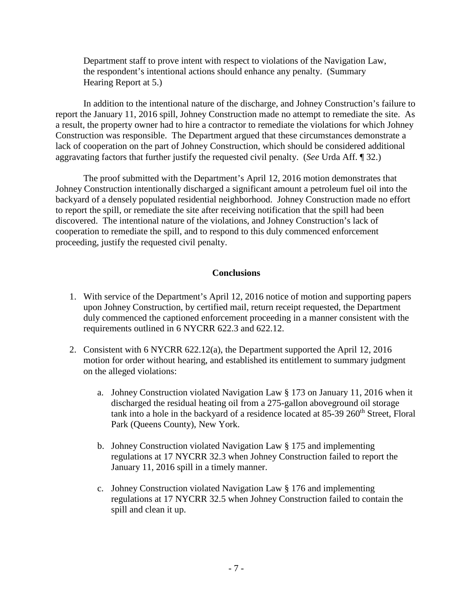Department staff to prove intent with respect to violations of the Navigation Law, the respondent's intentional actions should enhance any penalty. (Summary Hearing Report at 5.)

In addition to the intentional nature of the discharge, and Johney Construction's failure to report the January 11, 2016 spill, Johney Construction made no attempt to remediate the site. As a result, the property owner had to hire a contractor to remediate the violations for which Johney Construction was responsible. The Department argued that these circumstances demonstrate a lack of cooperation on the part of Johney Construction, which should be considered additional aggravating factors that further justify the requested civil penalty. (*See* Urda Aff. ¶ 32.)

The proof submitted with the Department's April 12, 2016 motion demonstrates that Johney Construction intentionally discharged a significant amount a petroleum fuel oil into the backyard of a densely populated residential neighborhood. Johney Construction made no effort to report the spill, or remediate the site after receiving notification that the spill had been discovered. The intentional nature of the violations, and Johney Construction's lack of cooperation to remediate the spill, and to respond to this duly commenced enforcement proceeding, justify the requested civil penalty.

## **Conclusions**

- 1. With service of the Department's April 12, 2016 notice of motion and supporting papers upon Johney Construction, by certified mail, return receipt requested, the Department duly commenced the captioned enforcement proceeding in a manner consistent with the requirements outlined in 6 NYCRR 622.3 and 622.12.
- 2. Consistent with 6 NYCRR 622.12(a), the Department supported the April 12, 2016 motion for order without hearing, and established its entitlement to summary judgment on the alleged violations:
	- a. Johney Construction violated Navigation Law § 173 on January 11, 2016 when it discharged the residual heating oil from a 275-gallon aboveground oil storage tank into a hole in the backyard of a residence located at 85-39 260<sup>th</sup> Street, Floral Park (Queens County), New York.
	- b. Johney Construction violated Navigation Law § 175 and implementing regulations at 17 NYCRR 32.3 when Johney Construction failed to report the January 11, 2016 spill in a timely manner.
	- c. Johney Construction violated Navigation Law § 176 and implementing regulations at 17 NYCRR 32.5 when Johney Construction failed to contain the spill and clean it up.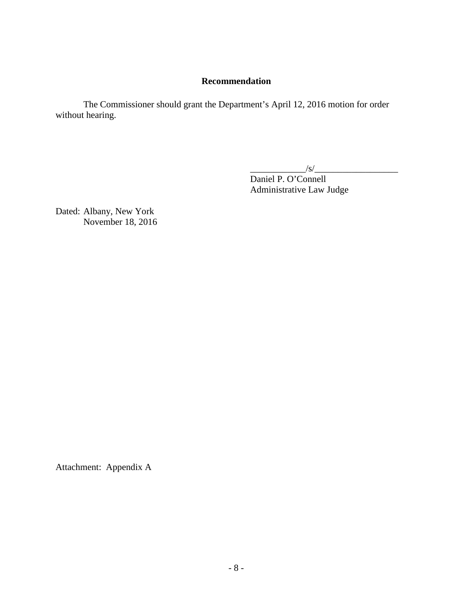### **Recommendation**

The Commissioner should grant the Department's April 12, 2016 motion for order without hearing.

 $\frac{1}{s}$ 

Daniel P. O'Connell Administrative Law Judge

Dated: Albany, New York November 18, 2016

Attachment: Appendix A